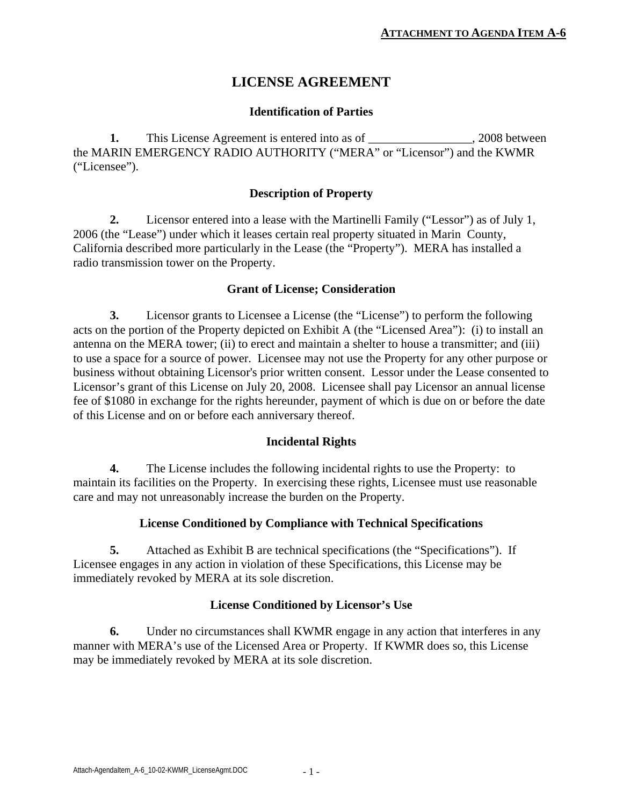# **LICENSE AGREEMENT**

#### **Identification of Parties**

**1.** This License Agreement is entered into as of \_\_\_\_\_\_\_\_\_\_\_\_\_\_\_, 2008 between the MARIN EMERGENCY RADIO AUTHORITY ("MERA" or "Licensor") and the KWMR ("Licensee").

#### **Description of Property**

**2.** Licensor entered into a lease with the Martinelli Family ("Lessor") as of July 1, 2006 (the "Lease") under which it leases certain real property situated in Marin County, California described more particularly in the Lease (the "Property"). MERA has installed a radio transmission tower on the Property.

#### **Grant of License; Consideration**

**3.** Licensor grants to Licensee a License (the "License") to perform the following acts on the portion of the Property depicted on Exhibit A (the "Licensed Area"): (i) to install an antenna on the MERA tower; (ii) to erect and maintain a shelter to house a transmitter; and (iii) to use a space for a source of power. Licensee may not use the Property for any other purpose or business without obtaining Licensor's prior written consent. Lessor under the Lease consented to Licensor's grant of this License on July 20, 2008. Licensee shall pay Licensor an annual license fee of \$1080 in exchange for the rights hereunder, payment of which is due on or before the date of this License and on or before each anniversary thereof.

#### **Incidental Rights**

**4.** The License includes the following incidental rights to use the Property: to maintain its facilities on the Property. In exercising these rights, Licensee must use reasonable care and may not unreasonably increase the burden on the Property.

#### **License Conditioned by Compliance with Technical Specifications**

**5.** Attached as Exhibit B are technical specifications (the "Specifications"). If Licensee engages in any action in violation of these Specifications, this License may be immediately revoked by MERA at its sole discretion.

#### **License Conditioned by Licensor's Use**

**6.** Under no circumstances shall KWMR engage in any action that interferes in any manner with MERA's use of the Licensed Area or Property. If KWMR does so, this License may be immediately revoked by MERA at its sole discretion.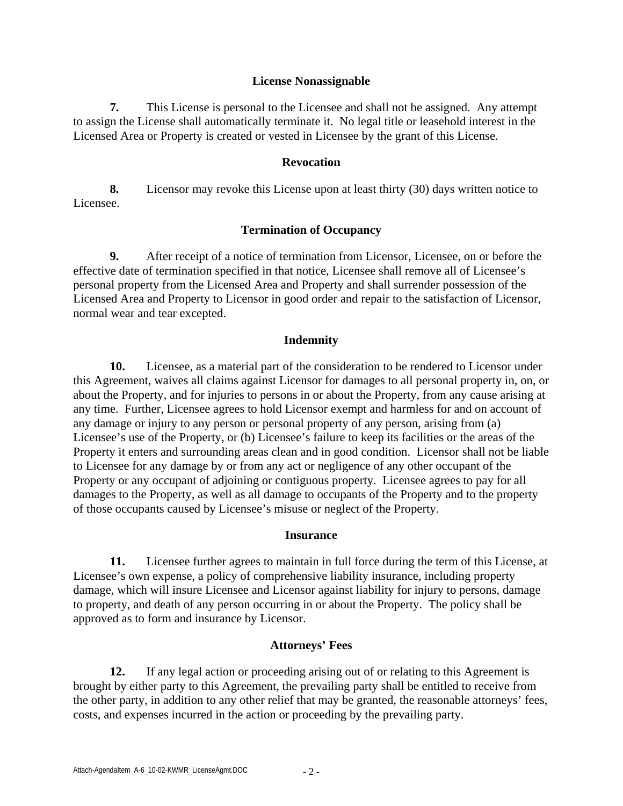#### **License Nonassignable**

**7.** This License is personal to the Licensee and shall not be assigned. Any attempt to assign the License shall automatically terminate it. No legal title or leasehold interest in the Licensed Area or Property is created or vested in Licensee by the grant of this License.

#### **Revocation**

**8.** Licensor may revoke this License upon at least thirty (30) days written notice to Licensee.

#### **Termination of Occupancy**

**9.** After receipt of a notice of termination from Licensor, Licensee, on or before the effective date of termination specified in that notice, Licensee shall remove all of Licensee's personal property from the Licensed Area and Property and shall surrender possession of the Licensed Area and Property to Licensor in good order and repair to the satisfaction of Licensor, normal wear and tear excepted.

#### **Indemnity**

**10.** Licensee, as a material part of the consideration to be rendered to Licensor under this Agreement, waives all claims against Licensor for damages to all personal property in, on, or about the Property, and for injuries to persons in or about the Property, from any cause arising at any time. Further, Licensee agrees to hold Licensor exempt and harmless for and on account of any damage or injury to any person or personal property of any person, arising from (a) Licensee's use of the Property, or (b) Licensee's failure to keep its facilities or the areas of the Property it enters and surrounding areas clean and in good condition. Licensor shall not be liable to Licensee for any damage by or from any act or negligence of any other occupant of the Property or any occupant of adjoining or contiguous property. Licensee agrees to pay for all damages to the Property, as well as all damage to occupants of the Property and to the property of those occupants caused by Licensee's misuse or neglect of the Property.

#### **Insurance**

**11.** Licensee further agrees to maintain in full force during the term of this License, at Licensee's own expense, a policy of comprehensive liability insurance, including property damage, which will insure Licensee and Licensor against liability for injury to persons, damage to property, and death of any person occurring in or about the Property. The policy shall be approved as to form and insurance by Licensor.

#### **Attorneys' Fees**

**12.** If any legal action or proceeding arising out of or relating to this Agreement is brought by either party to this Agreement, the prevailing party shall be entitled to receive from the other party, in addition to any other relief that may be granted, the reasonable attorneys' fees, costs, and expenses incurred in the action or proceeding by the prevailing party.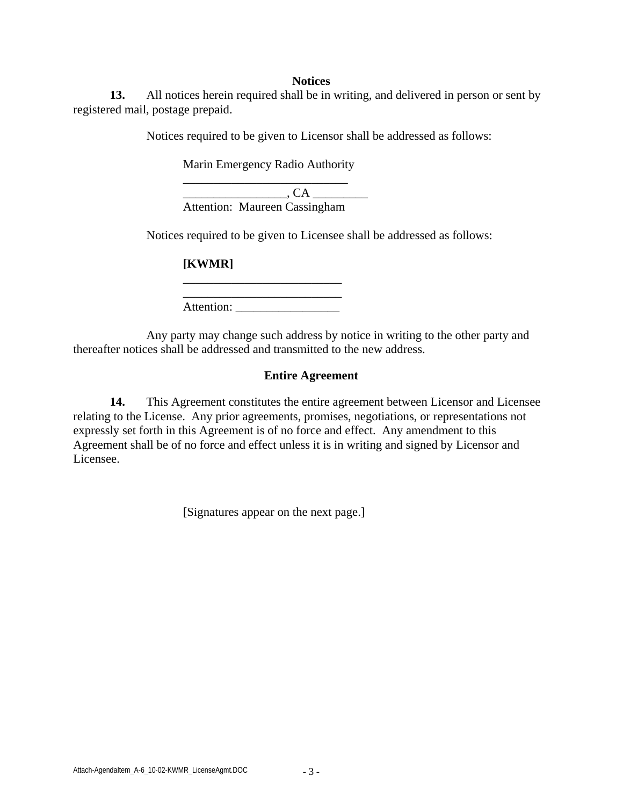#### **Notices**

**13.** All notices herein required shall be in writing, and delivered in person or sent by registered mail, postage prepaid.

Notices required to be given to Licensor shall be addressed as follows:

Marin Emergency Radio Authority \_\_\_\_\_\_\_\_\_\_\_\_\_\_\_\_\_\_\_\_\_\_\_\_\_\_\_

\_\_\_\_\_\_\_\_\_\_\_\_\_\_\_\_\_, CA \_\_\_\_\_\_\_\_\_ Attention: Maureen Cassingham

Notices required to be given to Licensee shall be addressed as follows:

**[KWMR]** 

Attention: \_\_\_\_\_\_\_\_\_\_\_\_\_\_\_\_\_

\_\_\_\_\_\_\_\_\_\_\_\_\_\_\_\_\_\_\_\_\_\_\_\_\_\_

 Any party may change such address by notice in writing to the other party and thereafter notices shall be addressed and transmitted to the new address.

#### **Entire Agreement**

**14.** This Agreement constitutes the entire agreement between Licensor and Licensee relating to the License. Any prior agreements, promises, negotiations, or representations not expressly set forth in this Agreement is of no force and effect. Any amendment to this Agreement shall be of no force and effect unless it is in writing and signed by Licensor and Licensee.

[Signatures appear on the next page.]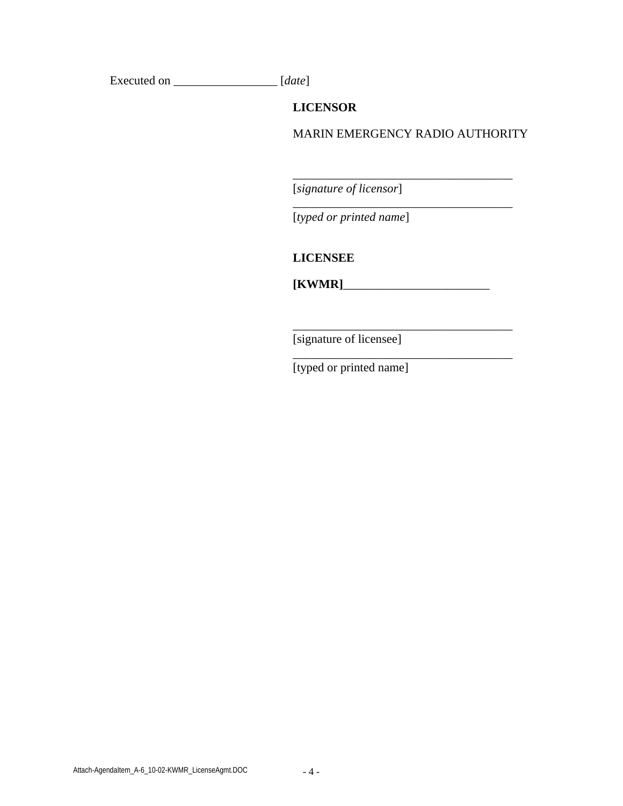Executed on \_\_\_\_\_\_\_\_\_\_\_\_\_\_\_\_\_ [*date*]

**LICENSOR** 

MARIN EMERGENCY RADIO AUTHORITY

\_\_\_\_\_\_\_\_\_\_\_\_\_\_\_\_\_\_\_\_\_\_\_\_\_\_\_\_\_\_\_\_\_\_\_\_

\_\_\_\_\_\_\_\_\_\_\_\_\_\_\_\_\_\_\_\_\_\_\_\_\_\_\_\_\_\_\_\_\_\_\_\_

 $\_$ 

[*signature of licensor*]

[*typed or printed name*]

**LICENSEE** 

**[KWMR]**\_\_\_\_\_\_\_\_\_\_\_\_\_\_\_\_\_\_\_\_\_\_\_\_

\_\_\_\_\_\_\_\_\_\_\_\_\_\_\_\_\_\_\_\_\_\_\_\_\_\_\_\_\_\_\_\_\_\_\_\_

[signature of licensee]

[typed or printed name]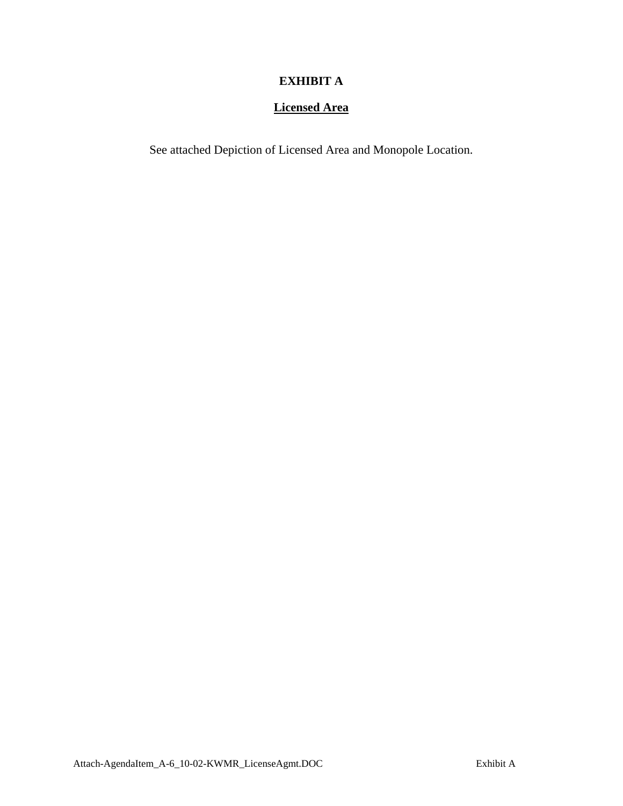## **EXHIBIT A**

### **Licensed Area**

See attached Depiction of Licensed Area and Monopole Location.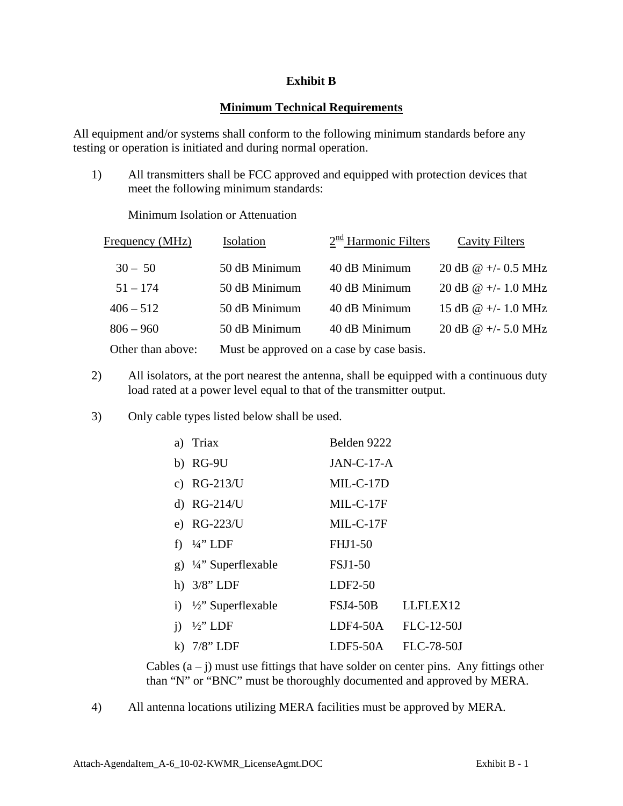### **Exhibit B**

#### **Minimum Technical Requirements**

All equipment and/or systems shall conform to the following minimum standards before any testing or operation is initiated and during normal operation.

1) All transmitters shall be FCC approved and equipped with protection devices that meet the following minimum standards:

Minimum Isolation or Attenuation

| Frequency (MHz)   | Isolation                                 | 2 <sup>nd</sup> Harmonic Filters | <b>Cavity Filters</b>      |
|-------------------|-------------------------------------------|----------------------------------|----------------------------|
| $30 - 50$         | 50 dB Minimum                             | 40 dB Minimum                    | 20 dB $\omega$ +/- 0.5 MHz |
| $51 - 174$        | 50 dB Minimum                             | 40 dB Minimum                    | 20 dB @ +/- 1.0 MHz        |
| $406 - 512$       | 50 dB Minimum                             | 40 dB Minimum                    | 15 dB @ $+/- 1.0$ MHz      |
| $806 - 960$       | 50 dB Minimum                             | 40 dB Minimum                    | 20 dB @ +/- 5.0 MHz        |
| Other than above: | Must be approved on a case by case basis. |                                  |                            |

- 2) All isolators, at the port nearest the antenna, shall be equipped with a continuous duty load rated at a power level equal to that of the transmitter output.
- 3) Only cable types listed below shall be used.

| Triax<br>a)                         | Belden 9222                 |
|-------------------------------------|-----------------------------|
| $b)$ RG-9U                          | $JAN-C-17-A$                |
| c) $RG-213/U$                       | $MIL-C-17D$                 |
| d) $RG-214/U$                       | $MIL-C-17F$                 |
| e) RG-223/U                         | MIL-C-17F                   |
| f) $\frac{1}{4}$ " LDF              | <b>FHJ1-50</b>              |
| g) $\frac{1}{4}$ " Superflexable    | <b>FSJ1-50</b>              |
| h) $3/8$ " LDF                      | LDF2-50                     |
| i) $\frac{1}{2}$ " Superflexable    | <b>FSJ4-50B</b><br>LLFLEX12 |
| $\frac{1}{2}$ " LDF<br>$\mathbf{1}$ | FLC-12-50J<br>$LDF4-50A$    |
| $7/8$ " LDF<br>$\bf{k}$             | FLC-78-50J<br>LDF5-50A      |

Cables  $(a - j)$  must use fittings that have solder on center pins. Any fittings other than "N" or "BNC" must be thoroughly documented and approved by MERA.

4) All antenna locations utilizing MERA facilities must be approved by MERA.